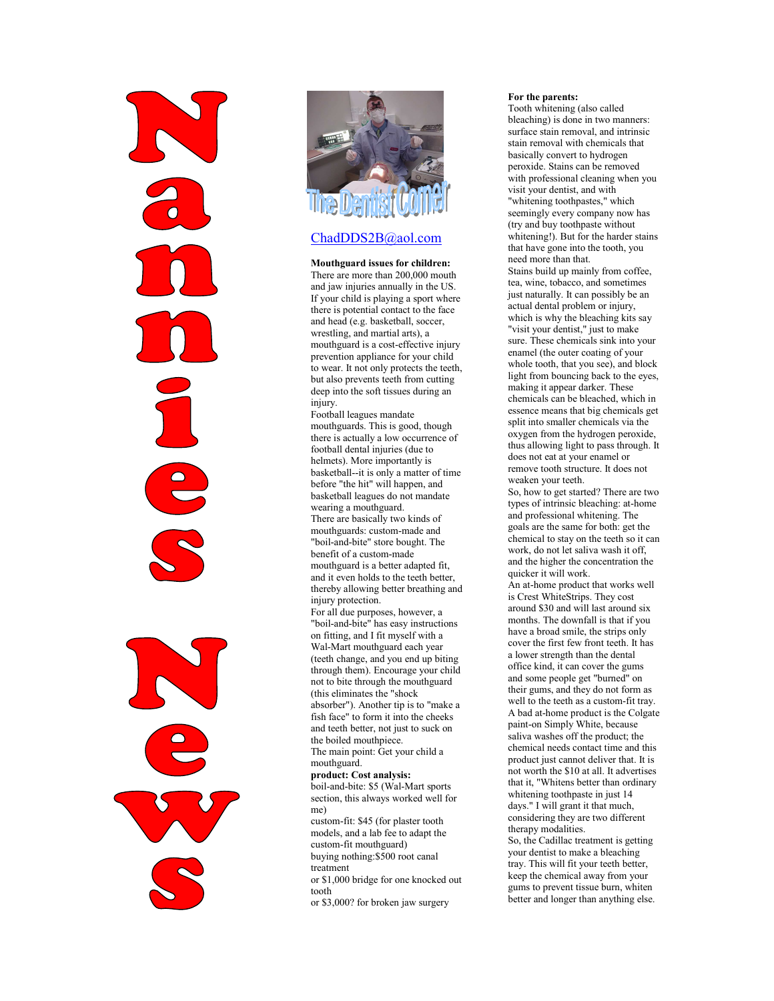

### ChadDDS2B@aol.com

#### Mouthguard issues for children:

There are more than 200,000 mouth and jaw injuries annually in the US. If your child is playing a sport where there is potential contact to the face and head (e.g. basketball, soccer, wrestling, and martial arts), a mouthguard is a cost-effective injury prevention appliance for your child to wear. It not only protects the teeth, but also prevents teeth from cutting deep into the soft tissues during an injury.

Football leagues mandate mouthguards. This is good, though there is actually a low occurrence of football dental injuries (due to helmets). More importantly is basketball--it is only a matter of time before "the hit" will happen, and basketball leagues do not mandate wearing a mouthguard. There are basically two kinds of mouthguards: custom-made and "boil-and-bite" store bought. The benefit of a custom-made mouthguard is a better adapted fit, and it even holds to the teeth better, thereby allowing better breathing and injury protection. For all due purposes, however, a "boil-and-bite" has easy instructions on fitting, and I fit myself with a Wal-Mart mouthguard each year (teeth change, and you end up biting through them). Encourage your child not to bite through the mouthguard (this eliminates the "shock absorber"). Another tip is to "make a fish face" to form it into the cheeks and teeth better, not just to suck on the boiled mouthpiece. The main point: Get your child a mouthguard.

#### product: Cost analysis:

boil-and-bite: \$5 (Wal-Mart sports section, this always worked well for me)

custom-fit: \$45 (for plaster tooth models, and a lab fee to adapt the custom-fit mouthguard)

buying nothing:\$500 root canal treatment

or \$1,000 bridge for one knocked out tooth or \$3,000? for broken jaw surgery

#### For the parents:

Tooth whitening (also called bleaching) is done in two manners: surface stain removal, and intrinsic stain removal with chemicals that basically convert to hydrogen peroxide. Stains can be removed with professional cleaning when you visit your dentist, and with "whitening toothpastes," which seemingly every company now has (try and buy toothpaste without whitening!). But for the harder stains that have gone into the tooth, you need more than that.

Stains build up mainly from coffee, tea, wine, tobacco, and sometimes just naturally. It can possibly be an actual dental problem or injury, which is why the bleaching kits say "visit your dentist," just to make sure. These chemicals sink into your enamel (the outer coating of your whole tooth, that you see), and block light from bouncing back to the eyes, making it appear darker. These chemicals can be bleached, which in essence means that big chemicals get split into smaller chemicals via the oxygen from the hydrogen peroxide, thus allowing light to pass through. It does not eat at your enamel or remove tooth structure. It does not weaken your teeth.

So, how to get started? There are two types of intrinsic bleaching: at-home and professional whitening. The goals are the same for both: get the chemical to stay on the teeth so it can work, do not let saliva wash it off, and the higher the concentration the quicker it will work.

An at-home product that works well is Crest WhiteStrips. They cost around \$30 and will last around six months. The downfall is that if you have a broad smile, the strips only cover the first few front teeth. It has a lower strength than the dental office kind, it can cover the gums and some people get "burned" on their gums, and they do not form as well to the teeth as a custom-fit tray. A bad at-home product is the Colgate paint-on Simply White, because saliva washes off the product; the chemical needs contact time and this product just cannot deliver that. It is not worth the \$10 at all. It advertises that it, "Whitens better than ordinary whitening toothpaste in just 14 days." I will grant it that much, considering they are two different therapy modalities.

So, the Cadillac treatment is getting your dentist to make a bleaching tray. This will fit your teeth better, keep the chemical away from your gums to prevent tissue burn, whiten better and longer than anything else.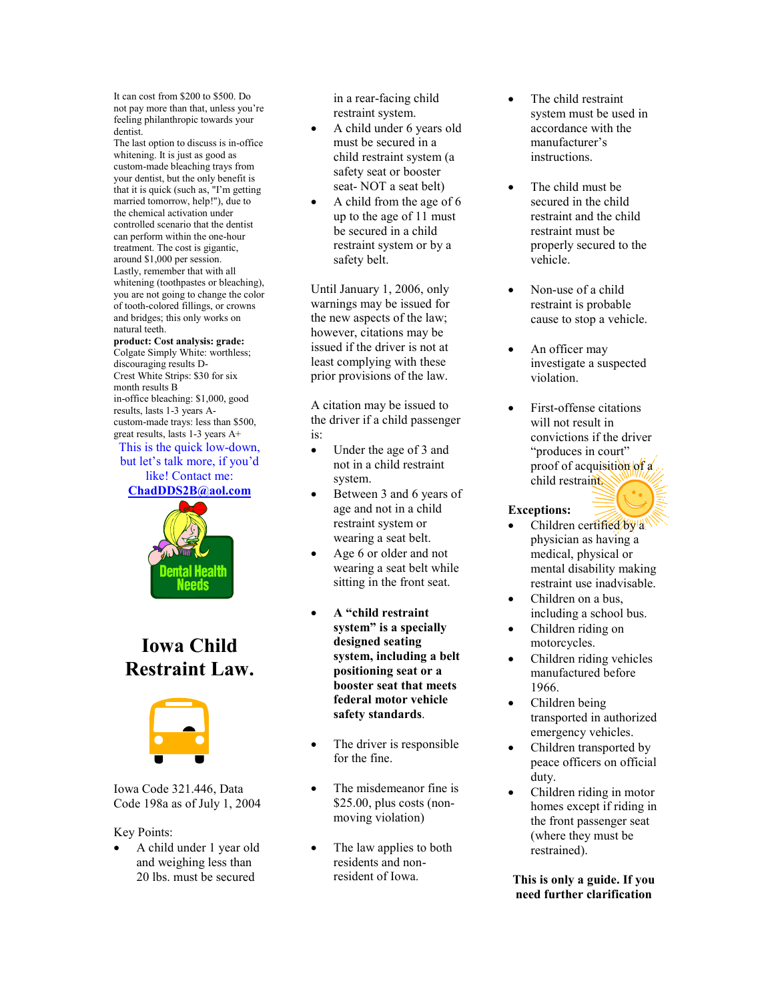It can cost from \$200 to \$500. Do not pay more than that, unless you're feeling philanthropic towards your dentist.

The last option to discuss is in-office whitening. It is just as good as custom-made bleaching trays from your dentist, but the only benefit is that it is quick (such as, "I'm getting married tomorrow, help!"), due to the chemical activation under controlled scenario that the dentist can perform within the one-hour treatment. The cost is gigantic, around \$1,000 per session. Lastly, remember that with all whitening (toothpastes or bleaching), you are not going to change the color of tooth-colored fillings, or crowns and bridges; this only works on natural teeth.

#### product: Cost analysis: grade:

Colgate Simply White: worthless; discouraging results D-Crest White Strips: \$30 for six month results B in-office bleaching: \$1,000, good results, lasts 1-3 years Acustom-made trays: less than \$500, great results, lasts 1-3 years A+

This is the quick low-down. but let's talk more, if you'd like! Contact me:

ChadDDS2B@aol.com



## Iowa Child Restraint Law.



Iowa Code 321.446, Data Code 198a as of July 1, 2004

#### Key Points:

• A child under 1 year old and weighing less than 20 lbs. must be secured

in a rear-facing child restraint system.

- A child under 6 years old must be secured in a child restraint system (a safety seat or booster seat- NOT a seat belt)
- A child from the age of 6 up to the age of 11 must be secured in a child restraint system or by a safety belt.

Until January 1, 2006, only warnings may be issued for the new aspects of the law; however, citations may be issued if the driver is not at least complying with these prior provisions of the law.

A citation may be issued to the driver if a child passenger is:

- Under the age of 3 and not in a child restraint system.
- Between 3 and 6 years of age and not in a child restraint system or wearing a seat belt.
- Age 6 or older and not wearing a seat belt while sitting in the front seat.
- A "child restraint system" is a specially designed seating system, including a belt positioning seat or a booster seat that meets federal motor vehicle safety standards.
- The driver is responsible for the fine.
- The misdemeanor fine is \$25.00, plus costs (nonmoving violation)
- The law applies to both residents and nonresident of Iowa.
- The child restraint system must be used in accordance with the manufacturer's instructions.
- The child must be secured in the child restraint and the child restraint must be properly secured to the vehicle.
- Non-use of a child restraint is probable cause to stop a vehicle.
- An officer may investigate a suspected violation.
- First-offense citations will not result in convictions if the driver "produces in court" proof of acquisition of  $\alpha$ child restraint.

#### Exceptions:

- Children certified by a physician as having a medical, physical or mental disability making restraint use inadvisable.
- Children on a bus, including a school bus.
- Children riding on motorcycles.
- Children riding vehicles manufactured before 1966.
- Children being transported in authorized emergency vehicles.
- Children transported by peace officers on official duty.
- Children riding in motor homes except if riding in the front passenger seat (where they must be restrained).

#### This is only a guide. If you need further clarification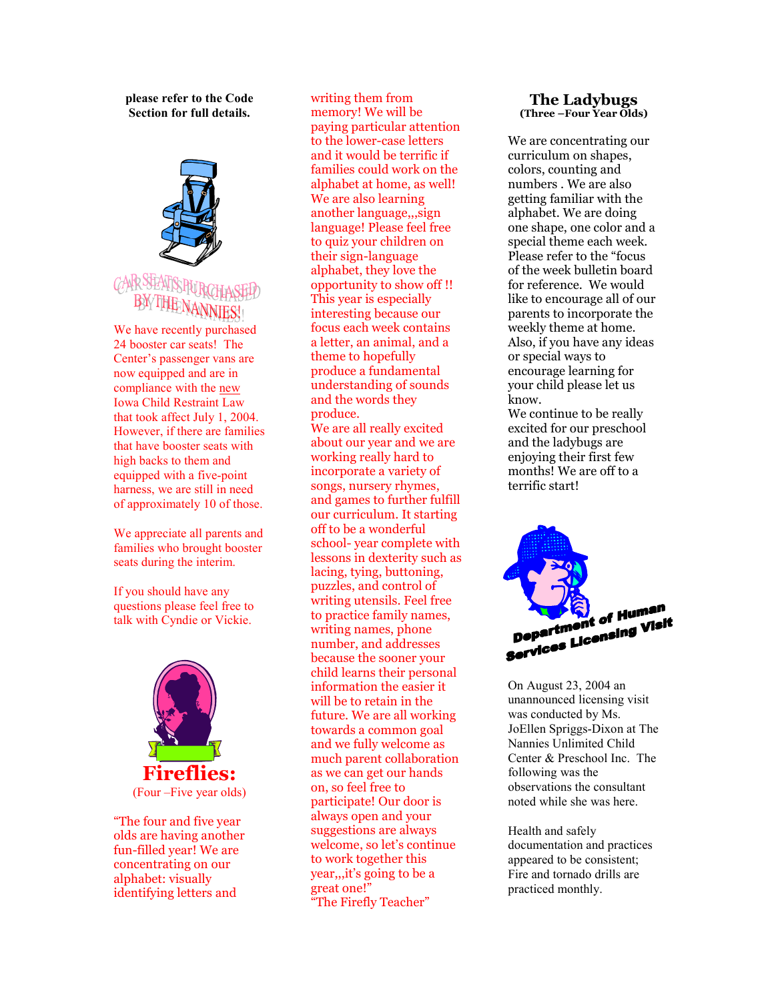please refer to the Code Section for full details.



We have recently purchased 24 booster car seats! The Center's passenger vans are now equipped and are in compliance with the new Iowa Child Restraint Law that took affect July 1, 2004. However, if there are families that have booster seats with high backs to them and equipped with a five-point harness, we are still in need of approximately 10 of those.

We appreciate all parents and families who brought booster seats during the interim.

If you should have any questions please feel free to talk with Cyndie or Vickie.



olds are having another fun-filled year! We are concentrating on our alphabet: visually identifying letters and

writing them from memory! We will be paying particular attention to the lower-case letters and it would be terrific if families could work on the alphabet at home, as well! We are also learning another language,,,sign language! Please feel free to quiz your children on their sign-language alphabet, they love the opportunity to show off !! This year is especially interesting because our focus each week contains a letter, an animal, and a theme to hopefully produce a fundamental understanding of sounds and the words they produce. We are all really excited about our year and we are working really hard to incorporate a variety of songs, nursery rhymes, and games to further fulfill our curriculum. It starting off to be a wonderful school- year complete with lessons in dexterity such as lacing, tying, buttoning, puzzles, and control of writing utensils. Feel free to practice family names, writing names, phone number, and addresses because the sooner your child learns their personal information the easier it will be to retain in the future. We are all working towards a common goal and we fully welcome as much parent collaboration as we can get our hands on, so feel free to participate! Our door is

always open and your suggestions are always welcome, so let's continue to work together this year,,,it's going to be a

"The Firefly Teacher"

great one!"

#### The Ladybugs (Three –Four Year Olds)

We are concentrating our curriculum on shapes, colors, counting and numbers . We are also getting familiar with the alphabet. We are doing one shape, one color and a special theme each week. Please refer to the "focus of the week bulletin board for reference. We would like to encourage all of our parents to incorporate the weekly theme at home. Also, if you have any ideas or special ways to encourage learning for your child please let us know. We continue to be really excited for our preschool and the ladybugs are enjoying their first few months! We are off to a



terrific start!

On August 23, 2004 an unannounced licensing visit was conducted by Ms. JoEllen Spriggs-Dixon at The Nannies Unlimited Child Center & Preschool Inc. The following was the observations the consultant noted while she was here.

Health and safely documentation and practices appeared to be consistent; Fire and tornado drills are practiced monthly.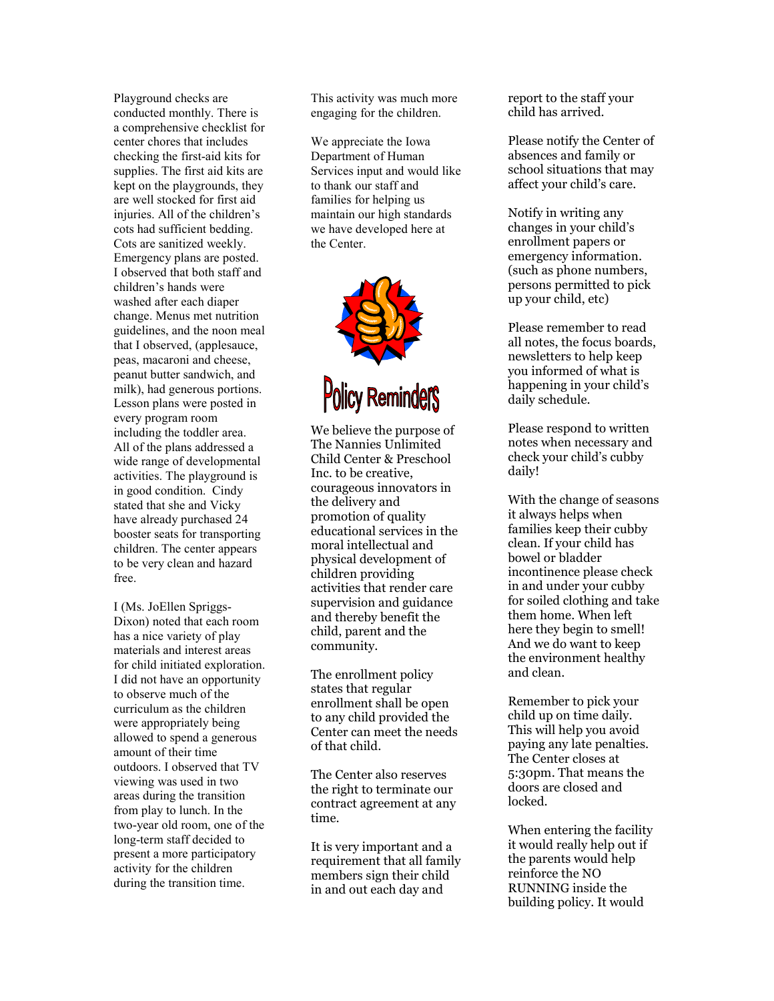Playground checks are conducted monthly. There is a comprehensive checklist for center chores that includes checking the first-aid kits for supplies. The first aid kits are kept on the playgrounds, they are well stocked for first aid injuries. All of the children's cots had sufficient bedding. Cots are sanitized weekly. Emergency plans are posted. I observed that both staff and children's hands were washed after each diaper change. Menus met nutrition guidelines, and the noon meal that I observed, (applesauce, peas, macaroni and cheese, peanut butter sandwich, and milk), had generous portions. Lesson plans were posted in every program room including the toddler area. All of the plans addressed a wide range of developmental activities. The playground is in good condition. Cindy stated that she and Vicky have already purchased 24 booster seats for transporting children. The center appears to be very clean and hazard free.

I (Ms. JoEllen Spriggs-Dixon) noted that each room has a nice variety of play materials and interest areas for child initiated exploration. I did not have an opportunity to observe much of the curriculum as the children were appropriately being allowed to spend a generous amount of their time outdoors. I observed that TV viewing was used in two areas during the transition from play to lunch. In the two-year old room, one of the long-term staff decided to present a more participatory activity for the children during the transition time.

This activity was much more engaging for the children.

We appreciate the Iowa Department of Human Services input and would like to thank our staff and families for helping us maintain our high standards we have developed here at the Center.



# **Policy Reminders**

We believe the purpose of The Nannies Unlimited Child Center & Preschool Inc. to be creative, courageous innovators in the delivery and promotion of quality educational services in the moral intellectual and physical development of children providing activities that render care supervision and guidance and thereby benefit the child, parent and the community.

The enrollment policy states that regular enrollment shall be open to any child provided the Center can meet the needs of that child.

The Center also reserves the right to terminate our contract agreement at any time.

It is very important and a requirement that all family members sign their child in and out each day and

report to the staff your child has arrived.

Please notify the Center of absences and family or school situations that may affect your child's care.

Notify in writing any changes in your child's enrollment papers or emergency information. (such as phone numbers, persons permitted to pick up your child, etc)

Please remember to read all notes, the focus boards, newsletters to help keep you informed of what is happening in your child's daily schedule.

Please respond to written notes when necessary and check your child's cubby daily!

With the change of seasons it always helps when families keep their cubby clean. If your child has bowel or bladder incontinence please check in and under your cubby for soiled clothing and take them home. When left here they begin to smell! And we do want to keep the environment healthy and clean.

Remember to pick your child up on time daily. This will help you avoid paying any late penalties. The Center closes at 5:30pm. That means the doors are closed and locked.

When entering the facility it would really help out if the parents would help reinforce the NO RUNNING inside the building policy. It would